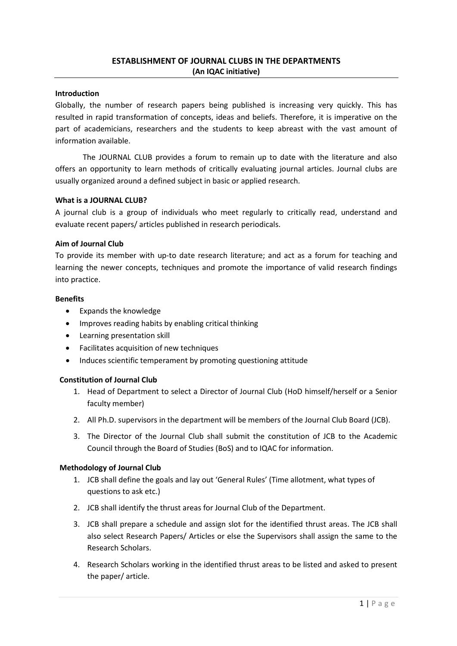## Introduction

Globally, the number of research papers being published is increasing very quickly. This has resulted in rapid transformation of concepts, ideas and beliefs. Therefore, it is imperative on the part of academicians, researchers and the students to keep abreast with the vast amount of information available.

 The JOURNAL CLUB provides a forum to remain up to date with the literature and also offers an opportunity to learn methods of critically evaluating journal articles. Journal clubs are usually organized around a defined subject in basic or applied research.

## What is a JOURNAL CLUB?

A journal club is a group of individuals who meet regularly to critically read, understand and evaluate recent papers/ articles published in research periodicals.

## Aim of Journal Club

To provide its member with up-to date research literature; and act as a forum for teaching and learning the newer concepts, techniques and promote the importance of valid research findings into practice.

#### Benefits

- Expands the knowledge
- Improves reading habits by enabling critical thinking
- Learning presentation skill
- Facilitates acquisition of new techniques
- Induces scientific temperament by promoting questioning attitude

## Constitution of Journal Club

- 1. Head of Department to select a Director of Journal Club (HoD himself/herself or a Senior faculty member)
- 2. All Ph.D. supervisors in the department will be members of the Journal Club Board (JCB).
- 3. The Director of the Journal Club shall submit the constitution of JCB to the Academic Council through the Board of Studies (BoS) and to IQAC for information.

#### Methodology of Journal Club

- 1. JCB shall define the goals and lay out 'General Rules' (Time allotment, what types of questions to ask etc.)
- 2. JCB shall identify the thrust areas for Journal Club of the Department.
- 3. JCB shall prepare a schedule and assign slot for the identified thrust areas. The JCB shall also select Research Papers/ Articles or else the Supervisors shall assign the same to the Research Scholars.
- 4. Research Scholars working in the identified thrust areas to be listed and asked to present the paper/ article.